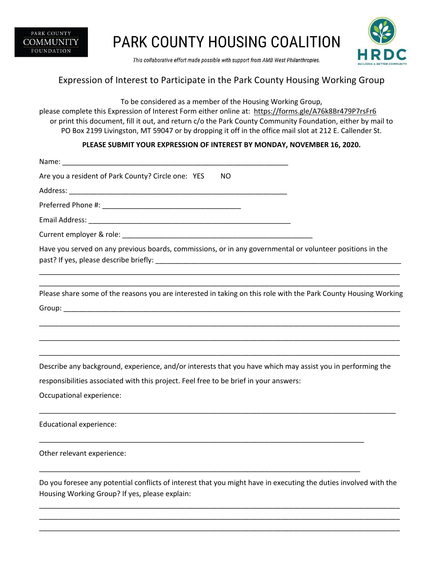

## PARK COUNTY HOUSING COALITION



This collaborative effort made possible with support from AMB West Philanthropies.

## Expression of Interest to Participate in the Park County Housing Working Group

To be considered as a member of the Housing Working Group,

please complete this Expression of Interest Form either online at: https://forms.gle/A76k8Br479P7rsFr6 or print this document, fill it out, and return c/o the Park County Community Foundation, either by mail to PO Box 2199 Livingston, MT 59047 or by dropping it off in the office mail slot at 212 E. Callender St.

## **PLEASE SUBMIT YOUR EXPRESSION OF INTEREST BY MONDAY, NOVEMBER 16, 2020.**

| Name: Name: Name: Name: Name: Name: Name: Name: Name: Name: Name: Name: Name: Name: Name: Name: Name: Name: Name: Name: Name: Name: Name: Name: Name: Name: Name: Name: Name: Name: Name: Name: Name: Name: Name: Name: Name: |
|-------------------------------------------------------------------------------------------------------------------------------------------------------------------------------------------------------------------------------|
| Are you a resident of Park County? Circle one: YES<br>NO.                                                                                                                                                                     |
|                                                                                                                                                                                                                               |
|                                                                                                                                                                                                                               |
|                                                                                                                                                                                                                               |
|                                                                                                                                                                                                                               |
| Have you served on any previous boards, commissions, or in any governmental or volunteer positions in the                                                                                                                     |
| Please share some of the reasons you are interested in taking on this role with the Park County Housing Working                                                                                                               |
|                                                                                                                                                                                                                               |
|                                                                                                                                                                                                                               |
|                                                                                                                                                                                                                               |
| Describe any background, experience, and/or interests that you have which may assist you in performing the                                                                                                                    |
| responsibilities associated with this project. Feel free to be brief in your answers:                                                                                                                                         |
| Occupational experience:                                                                                                                                                                                                      |
| <b>Educational experience:</b>                                                                                                                                                                                                |
| Other relevant experience:                                                                                                                                                                                                    |
| Do you foresee any potential conflicts of interest that you might have in executing the duties involved with the<br>Housing Working Group? If yes, please explain:                                                            |

\_\_\_\_\_\_\_\_\_\_\_\_\_\_\_\_\_\_\_\_\_\_\_\_\_\_\_\_\_\_\_\_\_\_\_\_\_\_\_\_\_\_\_\_\_\_\_\_\_\_\_\_\_\_\_\_\_\_\_\_\_\_\_\_\_\_\_\_\_\_\_\_\_\_\_\_\_\_\_\_\_\_\_\_\_\_\_\_\_\_\_ \_\_\_\_\_\_\_\_\_\_\_\_\_\_\_\_\_\_\_\_\_\_\_\_\_\_\_\_\_\_\_\_\_\_\_\_\_\_\_\_\_\_\_\_\_\_\_\_\_\_\_\_\_\_\_\_\_\_\_\_\_\_\_\_\_\_\_\_\_\_\_\_\_\_\_\_\_\_\_\_\_\_\_\_\_\_\_\_\_\_\_